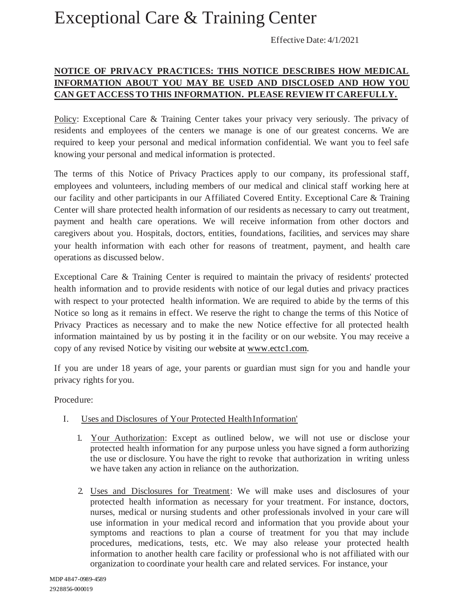## Exceptional Care & Training Center

Effective Date: 4/1/2021

## **NOTICE OF PRIVACY PRACTICES: THIS NOTICE DESCRIBES HOW MEDICAL INFORMATION ABOUT YOU MAY BE USED AND DISCLOSED AND HOW YOU CAN GET ACCESS TO THIS INFORMATION. PLEASE REVIEW IT CAREFULLY.**

Policy: Exceptional Care & Training Center takes your privacy very seriously. The privacy of residents and employees of the centers we manage is one of our greatest concerns. We are required to keep your personal and medical information confidential. We want you to feel safe knowing your personal and medical information is protected.

The terms of this Notice of Privacy Practices apply to our company, its professional staff, employees and volunteers, including members of our medical and clinical staff working here at our facility and other participants in our Affiliated Covered Entity. Exceptional Care & Training Center will share protected health information of our residents as necessary to carry out treatment, payment and health care operations. We will receive information from other doctors and caregivers about you. Hospitals, doctors, entities, foundations, facilities, and services may share your health information with each other for reasons of treatment, payment, and health care operations as discussed below.

Exceptional Care & Training Center is required to maintain the privacy of residents' protected health information and to provide residents with notice of our legal duties and privacy practices with respect to your protected health information. We are required to abide by the terms of this Notice so long as it remains in effect. We reserve the right to change the terms of this Notice of Privacy Practices as necessary and to make the new Notice effective for all protected health information maintained by us by posting it in the facility or on our website. You may receive a copy of any revised Notice by visiting our website at www.ectc1.com.

If you are under 18 years of age, your parents or guardian must sign for you and handle your privacy rights for you.

Procedure:

- I. Uses and Disclosures of Your Protected HealthInformation'
	- 1. Your Authorization: Except as outlined below, we will not use or disclose your protected health information for any purpose unless you have signed a form authorizing the use or disclosure. You have the right to revoke that authorization in writing unless we have taken any action in reliance on the authorization.
	- 2. Uses and Disclosures for Treatment: We will make uses and disclosures of your protected health information as necessary for your treatment. For instance, doctors, nurses, medical or nursing students and other professionals involved in your care will use information in your medical record and information that you provide about your symptoms and reactions to plan a course of treatment for you that may include procedures, medications, tests, etc. We may also release your protected health information to another health care facility or professional who is not affiliated with our organization to coordinate your health care and related services. For instance, your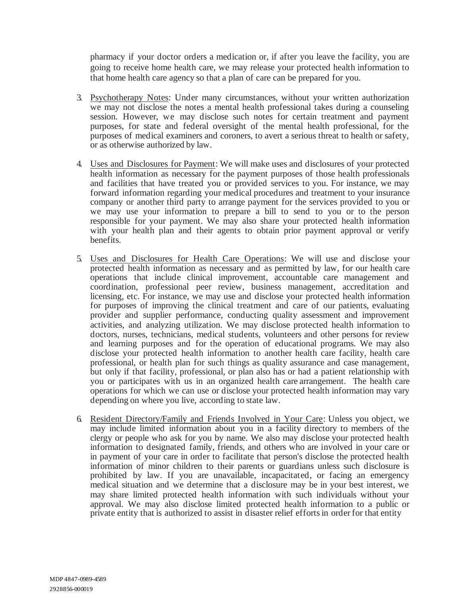pharmacy if your doctor orders a medication or, if after you leave the facility, you are going to receive home health care, we may release your protected health information to that home health care agency so that a plan of care can be prepared for you.

- 3. Psychotherapy Notes: Under many circumstances, without your written authorization we may not disclose the notes a mental health professional takes during a counseling session. However, we may disclose such notes for certain treatment and payment purposes, for state and federal oversight of the mental health professional, for the purposes of medical examiners and coroners, to avert a serious threat to health or safety, or as otherwise authorized by law.
- 4. Uses and Disclosures for Payment: We will make uses and disclosures of your protected health information as necessary for the payment purposes of those health professionals and facilities that have treated you or provided services to you. For instance, we may forward information regarding your medical procedures and treatment to your insurance company or another third party to arrange payment for the services provided to you or we may use your information to prepare a bill to send to you or to the person responsible for your payment. We may also share your protected health information with your health plan and their agents to obtain prior payment approval or verify benefits.
- 5. Uses and Disclosures for Health Care Operations: We will use and disclose your protected health information as necessary and as permitted by law, for our health care operations that include clinical improvement, accountable care management and coordination, professional peer review, business management, accreditation and licensing, etc. For instance, we may use and disclose your protected health information for purposes of improving the clinical treatment and care of our patients, evaluating provider and supplier performance, conducting quality assessment and improvement activities, and analyzing utilization. We may disclose protected health information to doctors, nurses, technicians, medical students, volunteers and other persons for review and learning purposes and for the operation of educational programs. We may also disclose your protected health information to another health care facility, health care professional, or health plan for such things as quality assurance and case management, but only if that facility, professional, or plan also has or had a patient relationship with you or participates with us in an organized health care arrangement. The health care operations for which we can use or disclose your protected health information may vary depending on where you live, according to state law.
- 6. Resident Directory/Family and Friends Involved in Your Care: Unless you object, we may include limited information about you in a facility directory to members of the clergy or people who ask for you by name. We also may disclose your protected health information to designated family, friends, and others who are involved in your care or in payment of your care in order to facilitate that person's disclose the protected health information of minor children to their parents or guardians unless such disclosure is prohibited by law. If you are unavailable, incapacitated, or facing an emergency medical situation and we determine that a disclosure may be in your best interest, we may share limited protected health information with such individuals without your approval. We may also disclose limited protected health information to a public or private entity that is authorized to assist in disaster relief efforts in order for that entity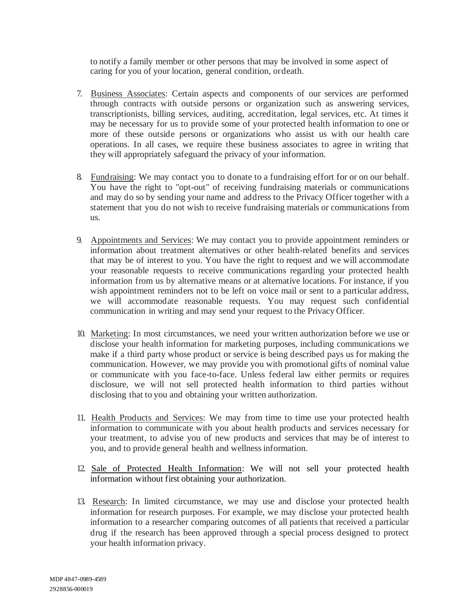to notify a family member or other persons that may be involved in some aspect of caring for you of your location, general condition, ordeath.

- 7. Business Associates: Certain aspects and components of our services are performed through contracts with outside persons or organization such as answering services, transcriptionists, billing services, auditing, accreditation, legal services, etc. At times it may be necessary for us to provide some of your protected health information to one or more of these outside persons or organizations who assist us with our health care operations. In all cases, we require these business associates to agree in writing that they will appropriately safeguard the privacy of your information.
- 8. Fundraising: We may contact you to donate to a fundraising effort for or on our behalf. You have the right to "opt-out" of receiving fundraising materials or communications and may do so by sending your name and address to the Privacy Officer together with a statement that you do not wish to receive fundraising materials or communications from us.
- 9. Appointments and Services: We may contact you to provide appointment reminders or information about treatment alternatives or other health-related benefits and services that may be of interest to you. You have the right to request and we will accommodate your reasonable requests to receive communications regarding your protected health information from us by alternative means or at alternative locations. For instance, if you wish appointment reminders not to be left on voice mail or sent to a particular address, we will accommodate reasonable requests. You may request such confidential communication in writing and may send your request to the Privacy Officer.
- 10. Marketing: In most circumstances, we need your written authorization before we use or disclose your health information for marketing purposes, including communications we make if a third party whose product or service is being described pays us for making the communication. However, we may provide you with promotional gifts of nominal value or communicate with you face-to-face. Unless federal law either permits or requires disclosure, we will not sell protected health information to third parties without disclosing that to you and obtaining your written authorization.
- 11. Health Products and Services: We may from time to time use your protected health information to communicate with you about health products and services necessary for your treatment, to advise you of new products and services that may be of interest to you, and to provide general health and wellness information.
- 12. Sale of Protected Health Information: We will not sell your protected health information without first obtaining your authorization.
- 13. Research: In limited circumstance, we may use and disclose your protected health information for research purposes. For example, we may disclose your protected health information to a researcher comparing outcomes of all patients that received a particular drug if the research has been approved through a special process designed to protect your health information privacy.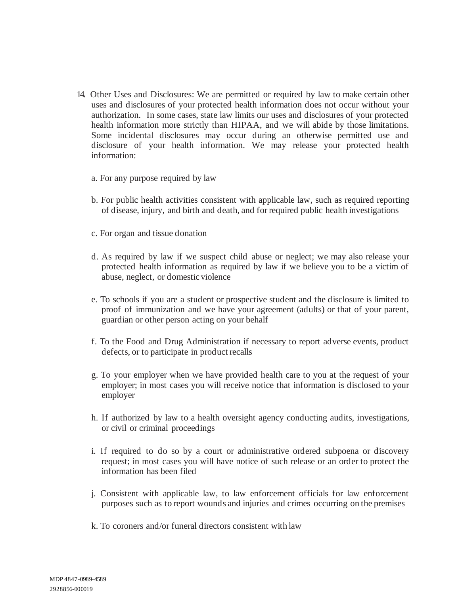- 14. Other Uses and Disclosures: We are permitted or required by law to make certain other uses and disclosures of your protected health information does not occur without your authorization. In some cases, state law limits our uses and disclosures of your protected health information more strictly than HIPAA, and we will abide by those limitations. Some incidental disclosures may occur during an otherwise permitted use and disclosure of your health information. We may release your protected health information:
	- a. For any purpose required by law
	- b. For public health activities consistent with applicable law, such as required reporting of disease, injury, and birth and death, and for required public health investigations
	- c. For organ and tissue donation
	- d. As required by law if we suspect child abuse or neglect; we may also release your protected health information as required by law if we believe you to be a victim of abuse, neglect, or domestic violence
	- e. To schools if you are a student or prospective student and the disclosure is limited to proof of immunization and we have your agreement (adults) or that of your parent, guardian or other person acting on your behalf
	- f. To the Food and Drug Administration if necessary to report adverse events, product defects, or to participate in product recalls
	- g. To your employer when we have provided health care to you at the request of your employer; in most cases you will receive notice that information is disclosed to your employer
	- h. If authorized by law to a health oversight agency conducting audits, investigations, or civil or criminal proceedings
	- i. If required to do so by a court or administrative ordered subpoena or discovery request; in most cases you will have notice of such release or an order to protect the information has been filed
	- j. Consistent with applicable law, to law enforcement officials for law enforcement purposes such as to report wounds and injuries and crimes occurring on the premises
	- k. To coroners and/or funeral directors consistent with law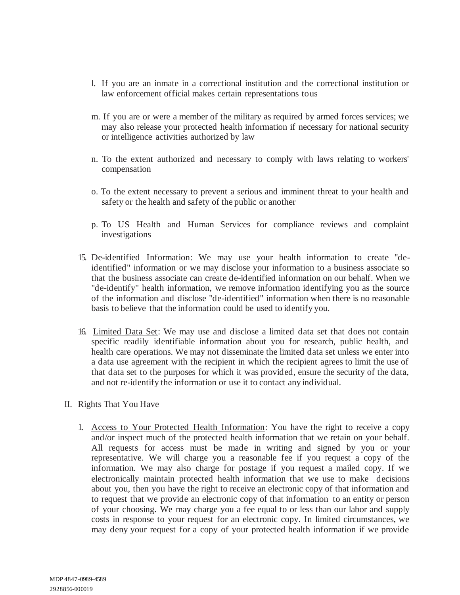- l. If you are an inmate in a correctional institution and the correctional institution or law enforcement official makes certain representations tous
- m. If you are or were a member of the military as required by armed forces services; we may also release your protected health information if necessary for national security or intelligence activities authorized by law
- n. To the extent authorized and necessary to comply with laws relating to workers' compensation
- o. To the extent necessary to prevent a serious and imminent threat to your health and safety or the health and safety of the public or another
- p. To US Health and Human Services for compliance reviews and complaint investigations
- 15. De-identified Information: We may use your health information to create "deidentified" information or we may disclose your information to a business associate so that the business associate can create de-identified information on our behalf. When we "de-identify" health information, we remove information identifying you as the source of the information and disclose "de-identified" information when there is no reasonable basis to believe that the information could be used to identify you.
- 16. Limited Data Set: We may use and disclose a limited data set that does not contain specific readily identifiable information about you for research, public health, and health care operations. We may not disseminate the limited data set unless we enter into a data use agreement with the recipient in which the recipient agrees to limit the use of that data set to the purposes for which it was provided, ensure the security of the data, and not re-identify the information or use it to contact any individual.
- II. Rights That You Have
	- 1. Access to Your Protected Health Information: You have the right to receive a copy and/or inspect much of the protected health information that we retain on your behalf. All requests for access must be made in writing and signed by you or your representative. We will charge you a reasonable fee if you request a copy of the information. We may also charge for postage if you request a mailed copy. If we electronically maintain protected health information that we use to make decisions about you, then you have the right to receive an electronic copy of that information and to request that we provide an electronic copy of that information to an entity or person of your choosing. We may charge you a fee equal to or less than our labor and supply costs in response to your request for an electronic copy. In limited circumstances, we may deny your request for a copy of your protected health information if we provide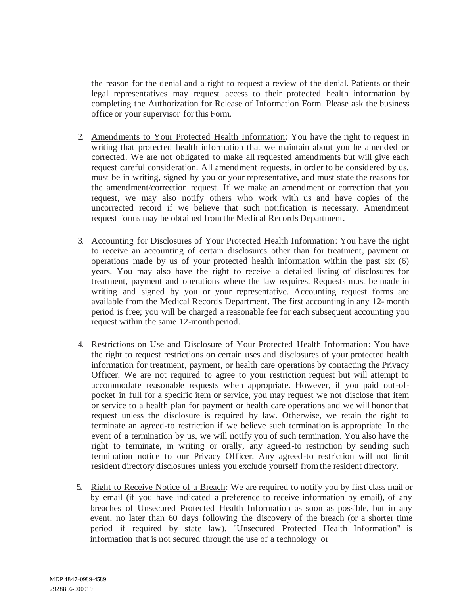the reason for the denial and a right to request a review of the denial. Patients or their legal representatives may request access to their protected health information by completing the Authorization for Release of Information Form. Please ask the business office or your supervisor for this Form.

- 2. Amendments to Your Protected Health Information: You have the right to request in writing that protected health information that we maintain about you be amended or corrected. We are not obligated to make all requested amendments but will give each request careful consideration. All amendment requests, in order to be considered by us, must be in writing, signed by you or your representative, and must state the reasons for the amendment/correction request. If we make an amendment or correction that you request, we may also notify others who work with us and have copies of the uncorrected record if we believe that such notification is necessary. Amendment request forms may be obtained from the Medical Records Department.
- 3. Accounting for Disclosures of Your Protected Health Information: You have the right to receive an accounting of certain disclosures other than for treatment, payment or operations made by us of your protected health information within the past six (6) years. You may also have the right to receive a detailed listing of disclosures for treatment, payment and operations where the law requires. Requests must be made in writing and signed by you or your representative. Accounting request forms are available from the Medical Records Department. The first accounting in any 12- month period is free; you will be charged a reasonable fee for each subsequent accounting you request within the same 12-month period.
- 4. Restrictions on Use and Disclosure of Your Protected Health Information: You have the right to request restrictions on certain uses and disclosures of your protected health information for treatment, payment, or health care operations by contacting the Privacy Officer. We are not required to agree to your restriction request but will attempt to accommodate reasonable requests when appropriate. However, if you paid out-ofpocket in full for a specific item or service, you may request we not disclose that item or service to a health plan for payment or health care operations and we will honor that request unless the disclosure is required by law. Otherwise, we retain the right to terminate an agreed-to restriction if we believe such termination is appropriate. In the event of a termination by us, we will notify you of such termination. You also have the right to terminate, in writing or orally, any agreed-to restriction by sending such termination notice to our Privacy Officer. Any agreed-to restriction will not limit resident directory disclosures unless you exclude yourself from the resident directory.
- 5. Right to Receive Notice of a Breach: We are required to notify you by first class mail or by email (if you have indicated a preference to receive information by email), of any breaches of Unsecured Protected Health Information as soon as possible, but in any event, no later than 60 days following the discovery of the breach (or a shorter time period if required by state law). "Unsecured Protected Health Information" is information that is not secured through the use of a technology or